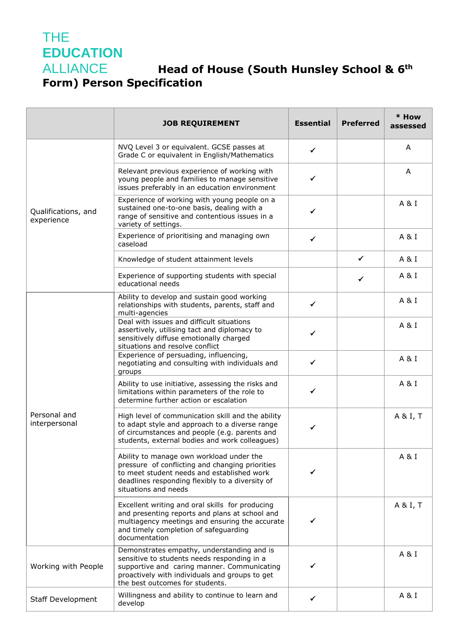## THE **EDUCATION**

## **Head of House (South Hunsley School & 6<sup>th</sup> Form) Person Specification**

|                                   | <b>JOB REQUIREMENT</b>                                                                                                                                                                                                        | <b>Essential</b> | <b>Preferred</b> | * How<br>assessed |
|-----------------------------------|-------------------------------------------------------------------------------------------------------------------------------------------------------------------------------------------------------------------------------|------------------|------------------|-------------------|
| Qualifications, and<br>experience | NVQ Level 3 or equivalent. GCSE passes at<br>Grade C or equivalent in English/Mathematics                                                                                                                                     | ✓                |                  | A                 |
|                                   | Relevant previous experience of working with<br>young people and families to manage sensitive<br>issues preferably in an education environment                                                                                | ✓                |                  | A                 |
|                                   | Experience of working with young people on a<br>sustained one-to-one basis, dealing with a<br>range of sensitive and contentious issues in a<br>variety of settings.                                                          | ✓                |                  | A&I               |
|                                   | Experience of prioritising and managing own<br>caseload                                                                                                                                                                       | $\checkmark$     |                  | A&I               |
|                                   | Knowledge of student attainment levels                                                                                                                                                                                        |                  | $\checkmark$     | A & I             |
|                                   | Experience of supporting students with special<br>educational needs                                                                                                                                                           |                  | ✓                | A & I             |
| Personal and<br>interpersonal     | Ability to develop and sustain good working<br>relationships with students, parents, staff and<br>multi-agencies                                                                                                              | $\checkmark$     |                  | A&I               |
|                                   | Deal with issues and difficult situations<br>assertively, utilising tact and diplomacy to<br>sensitively diffuse emotionally charged<br>situations and resolve conflict                                                       | ✓                |                  | A & I             |
|                                   | Experience of persuading, influencing,<br>negotiating and consulting with individuals and<br>groups                                                                                                                           | $\checkmark$     |                  | A&I               |
|                                   | Ability to use initiative, assessing the risks and<br>limitations within parameters of the role to<br>determine further action or escalation                                                                                  | ✓                |                  | A&I               |
|                                   | High level of communication skill and the ability<br>to adapt style and approach to a diverse range<br>of circumstances and people (e.g. parents and<br>students, external bodies and work colleagues)                        | ✓                |                  | A & I, T          |
|                                   | Ability to manage own workload under the<br>pressure of conflicting and changing priorities<br>to meet student needs and established work<br>deadlines responding flexibly to a diversity of<br>situations and needs          |                  |                  | A & I             |
|                                   | Excellent writing and oral skills for producing<br>and presenting reports and plans at school and<br>multiagency meetings and ensuring the accurate<br>and timely completion of safeguarding<br>documentation                 |                  |                  | A & I, T          |
| Working with People               | Demonstrates empathy, understanding and is<br>sensitive to students needs responding in a<br>supportive and caring manner. Communicating<br>proactively with individuals and groups to get<br>the best outcomes for students. |                  |                  | A & I             |
| <b>Staff Development</b>          | Willingness and ability to continue to learn and<br>develop                                                                                                                                                                   | ✓                |                  | A&I               |